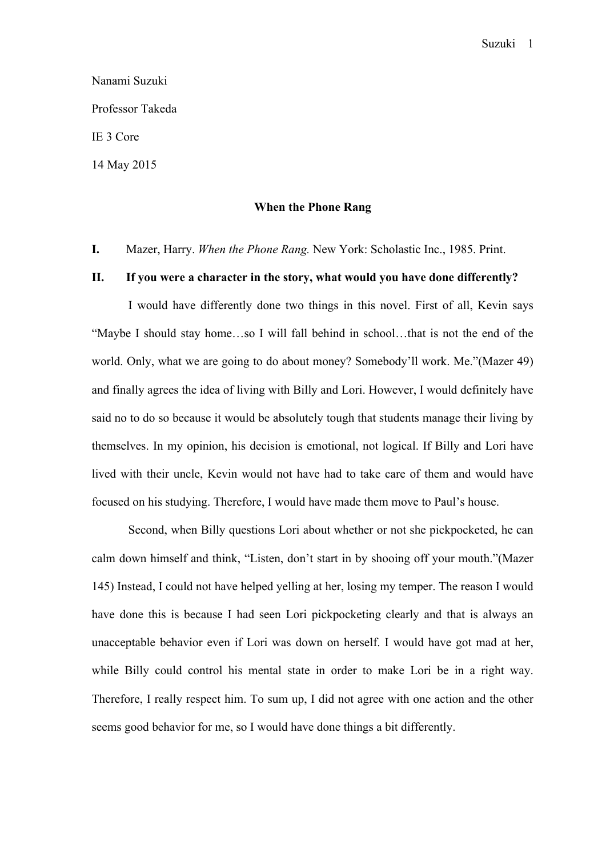# Nanami Suzuki Professor Takeda IE 3 Core 14 May 2015

### **When the Phone Rang**

**I.** Mazer, Harry. *When the Phone Rang.* New York: Scholastic Inc., 1985. Print.

## **II. If you were a character in the story, what would you have done differently?**

 I would have differently done two things in this novel. First of all, Kevin says "Maybe I should stay home…so I will fall behind in school…that is not the end of the world. Only, what we are going to do about money? Somebody'll work. Me."(Mazer 49) and finally agrees the idea of living with Billy and Lori. However, I would definitely have said no to do so because it would be absolutely tough that students manage their living by themselves. In my opinion, his decision is emotional, not logical. If Billy and Lori have lived with their uncle, Kevin would not have had to take care of them and would have focused on his studying. Therefore, I would have made them move to Paul's house.

 Second, when Billy questions Lori about whether or not she pickpocketed, he can calm down himself and think, "Listen, don't start in by shooing off your mouth."(Mazer 145) Instead, I could not have helped yelling at her, losing my temper. The reason I would have done this is because I had seen Lori pickpocketing clearly and that is always an unacceptable behavior even if Lori was down on herself. I would have got mad at her, while Billy could control his mental state in order to make Lori be in a right way. Therefore, I really respect him. To sum up, I did not agree with one action and the other seems good behavior for me, so I would have done things a bit differently.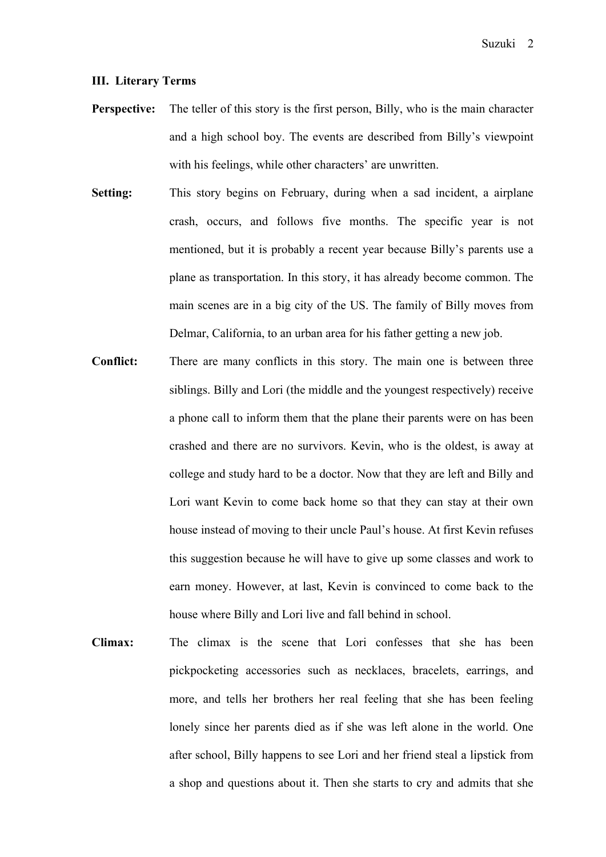#### **III. Literary Terms**

- **Perspective:** The teller of this story is the first person, Billy, who is the main character and a high school boy. The events are described from Billy's viewpoint with his feelings, while other characters' are unwritten.
- **Setting:** This story begins on February, during when a sad incident, a airplane crash, occurs, and follows five months. The specific year is not mentioned, but it is probably a recent year because Billy's parents use a plane as transportation. In this story, it has already become common. The main scenes are in a big city of the US. The family of Billy moves from Delmar, California, to an urban area for his father getting a new job.
- **Conflict:** There are many conflicts in this story. The main one is between three siblings. Billy and Lori (the middle and the youngest respectively) receive a phone call to inform them that the plane their parents were on has been crashed and there are no survivors. Kevin, who is the oldest, is away at college and study hard to be a doctor. Now that they are left and Billy and Lori want Kevin to come back home so that they can stay at their own house instead of moving to their uncle Paul's house. At first Kevin refuses this suggestion because he will have to give up some classes and work to earn money. However, at last, Kevin is convinced to come back to the house where Billy and Lori live and fall behind in school.
- **Climax:** The climax is the scene that Lori confesses that she has been pickpocketing accessories such as necklaces, bracelets, earrings, and more, and tells her brothers her real feeling that she has been feeling lonely since her parents died as if she was left alone in the world. One after school, Billy happens to see Lori and her friend steal a lipstick from a shop and questions about it. Then she starts to cry and admits that she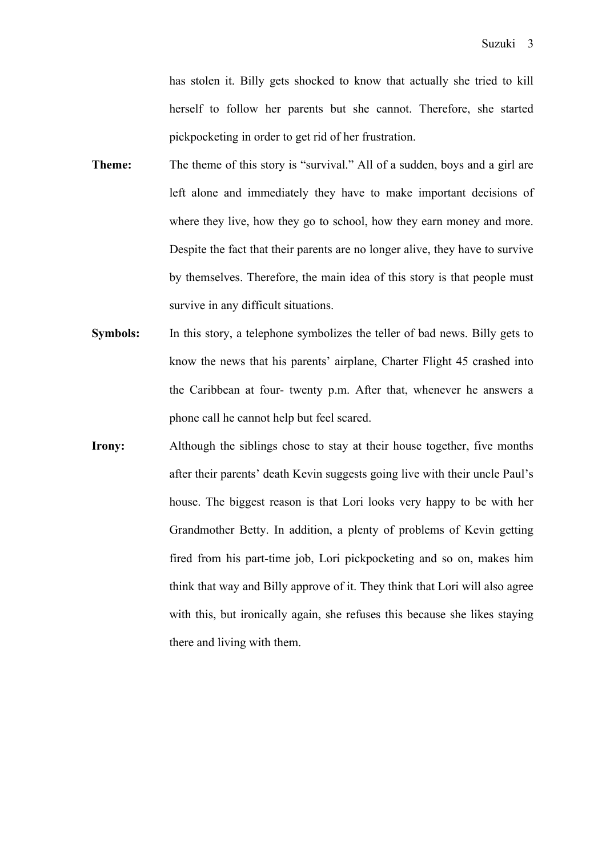has stolen it. Billy gets shocked to know that actually she tried to kill herself to follow her parents but she cannot. Therefore, she started pickpocketing in order to get rid of her frustration.

- **Theme:** The theme of this story is "survival." All of a sudden, boys and a girl are left alone and immediately they have to make important decisions of where they live, how they go to school, how they earn money and more. Despite the fact that their parents are no longer alive, they have to survive by themselves. Therefore, the main idea of this story is that people must survive in any difficult situations.
- **Symbols:** In this story, a telephone symbolizes the teller of bad news. Billy gets to know the news that his parents' airplane, Charter Flight 45 crashed into the Caribbean at four- twenty p.m. After that, whenever he answers a phone call he cannot help but feel scared.
- **Irony:** Although the siblings chose to stay at their house together, five months after their parents' death Kevin suggests going live with their uncle Paul's house. The biggest reason is that Lori looks very happy to be with her Grandmother Betty. In addition, a plenty of problems of Kevin getting fired from his part-time job, Lori pickpocketing and so on, makes him think that way and Billy approve of it. They think that Lori will also agree with this, but ironically again, she refuses this because she likes staying there and living with them.